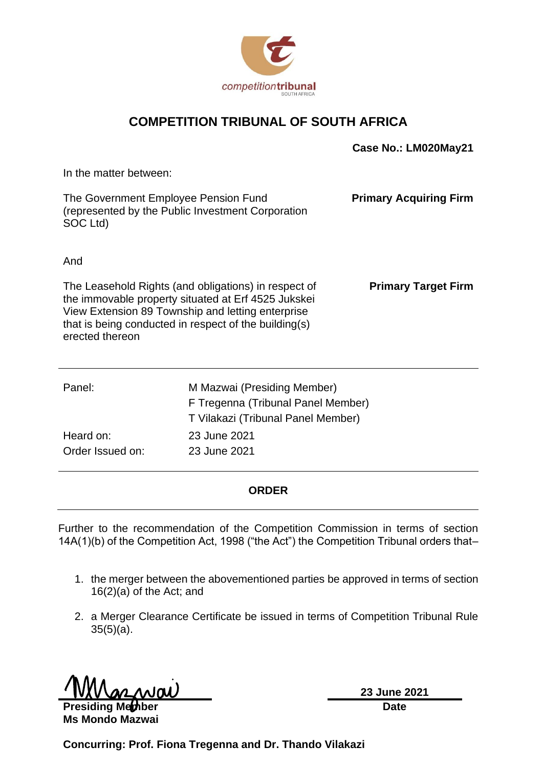

### **COMPETITION TRIBUNAL OF SOUTH AFRICA**

|                                                                                                       |                                                                                                                                                                                                                           | Case No.: LM020May21          |
|-------------------------------------------------------------------------------------------------------|---------------------------------------------------------------------------------------------------------------------------------------------------------------------------------------------------------------------------|-------------------------------|
| In the matter between:                                                                                |                                                                                                                                                                                                                           |                               |
| The Government Employee Pension Fund<br>(represented by the Public Investment Corporation<br>SOC Ltd) |                                                                                                                                                                                                                           | <b>Primary Acquiring Firm</b> |
| And                                                                                                   |                                                                                                                                                                                                                           |                               |
| erected thereon                                                                                       | The Leasehold Rights (and obligations) in respect of<br>the immovable property situated at Erf 4525 Jukskei<br>View Extension 89 Township and letting enterprise<br>that is being conducted in respect of the building(s) | <b>Primary Target Firm</b>    |
| Panel:                                                                                                | M Mazwai (Presiding Member)                                                                                                                                                                                               |                               |
|                                                                                                       | F Tregenna (Tribunal Panel Member)                                                                                                                                                                                        |                               |
|                                                                                                       | T Vilakazi (Tribunal Panel Member)                                                                                                                                                                                        |                               |
| Heard on:                                                                                             | 23 June 2021                                                                                                                                                                                                              |                               |
| Order Issued on:                                                                                      | 23 June 2021                                                                                                                                                                                                              |                               |

#### **ORDER**

Further to the recommendation of the Competition Commission in terms of section 14A(1)(b) of the Competition Act, 1998 ("the Act") the Competition Tribunal orders that–

- 1. the merger between the abovementioned parties be approved in terms of section 16(2)(a) of the Act; and
- 2. a Merger Clearance Certificate be issued in terms of Competition Tribunal Rule 35(5)(a).

**Presiding Member** 

**Ms Mondo Mazwai**

**23 June 2021 Date**

**Concurring: Prof. Fiona Tregenna and Dr. Thando Vilakazi**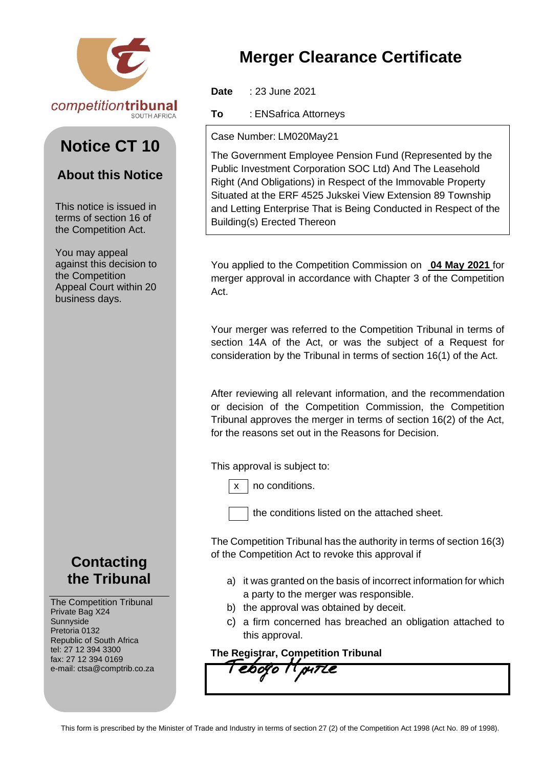

# **Notice CT 10**

### **About this Notice**

This notice is issued in terms of section 16 of the Competition Act.

You may appeal against this decision to the Competition Appeal Court within 20 business days.

## **Contacting the Tribunal**

The Competition Tribunal Private Bag X24 Sunnyside Pretoria 0132 Republic of South Africa tel: 27 12 394 3300 fax: 27 12 394 0169 e-mail: ctsa@comptrib.co.za

# **Merger Clearance Certificate**

**Date** : 23 June 2021

**To** : ENSafrica Attorneys

#### Case Number: LM020May21

The Government Employee Pension Fund (Represented by the Public Investment Corporation SOC Ltd) And The Leasehold Right (And Obligations) in Respect of the Immovable Property Situated at the ERF 4525 Jukskei View Extension 89 Township and Letting Enterprise That is Being Conducted in Respect of the Building(s) Erected Thereon

You applied to the Competition Commission on **04 May 2021** for merger approval in accordance with Chapter 3 of the Competition Act.

Your merger was referred to the Competition Tribunal in terms of section 14A of the Act, or was the subject of a Request for consideration by the Tribunal in terms of section 16(1) of the Act.

After reviewing all relevant information, and the recommendation or decision of the Competition Commission, the Competition Tribunal approves the merger in terms of section 16(2) of the Act, for the reasons set out in the Reasons for Decision.

This approval is subject to:

no conditions.

the conditions listed on the attached sheet.

The Competition Tribunal has the authority in terms of section 16(3) of the Competition Act to revoke this approval if

- a) it was granted on the basis of incorrect information for which a party to the merger was responsible.
- b) the approval was obtained by deceit.
- c) a firm concerned has breached an obligation attached to this approval.

**The Registrar, Competition Tribunal**<br>Tebogo *II put Le*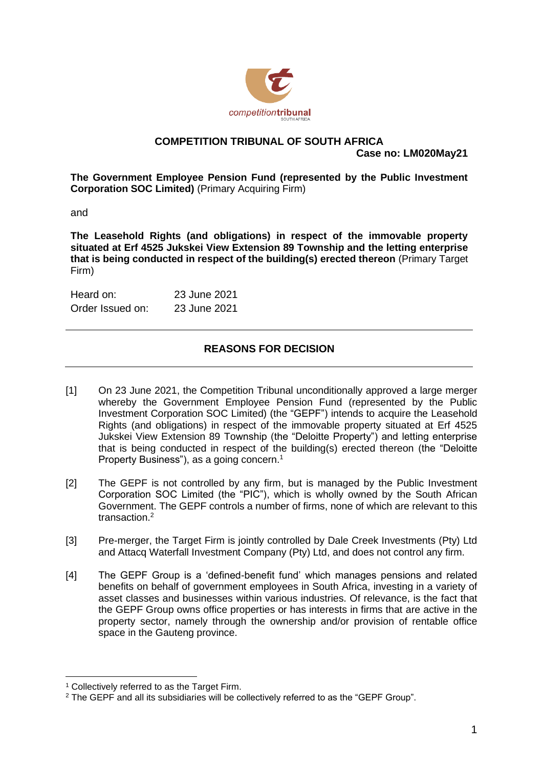

## **COMPETITION TRIBUNAL OF SOUTH AFRICA**

**Case no: LM020May21**

**The Government Employee Pension Fund (represented by the Public Investment Corporation SOC Limited)** (Primary Acquiring Firm)

and

**The Leasehold Rights (and obligations) in respect of the immovable property situated at Erf 4525 Jukskei View Extension 89 Township and the letting enterprise that is being conducted in respect of the building(s) erected thereon** (Primary Target Firm)

| Heard on:        | 23 June 2021 |
|------------------|--------------|
| Order Issued on: | 23 June 2021 |

### **REASONS FOR DECISION**

- [1] On 23 June 2021, the Competition Tribunal unconditionally approved a large merger whereby the Government Employee Pension Fund (represented by the Public Investment Corporation SOC Limited) (the "GEPF") intends to acquire the Leasehold Rights (and obligations) in respect of the immovable property situated at Erf 4525 Jukskei View Extension 89 Township (the "Deloitte Property") and letting enterprise that is being conducted in respect of the building(s) erected thereon (the "Deloitte Property Business"), as a going concern. 1
- [2] The GEPF is not controlled by any firm, but is managed by the Public Investment Corporation SOC Limited (the "PIC"), which is wholly owned by the South African Government. The GEPF controls a number of firms, none of which are relevant to this transaction. 2
- [3] Pre-merger, the Target Firm is jointly controlled by Dale Creek Investments (Pty) Ltd and Attacq Waterfall Investment Company (Pty) Ltd, and does not control any firm.
- [4] The GEPF Group is a 'defined-benefit fund' which manages pensions and related benefits on behalf of government employees in South Africa, investing in a variety of asset classes and businesses within various industries. Of relevance, is the fact that the GEPF Group owns office properties or has interests in firms that are active in the property sector, namely through the ownership and/or provision of rentable office space in the Gauteng province.

<sup>1</sup> Collectively referred to as the Target Firm.

<sup>2</sup> The GEPF and all its subsidiaries will be collectively referred to as the "GEPF Group".